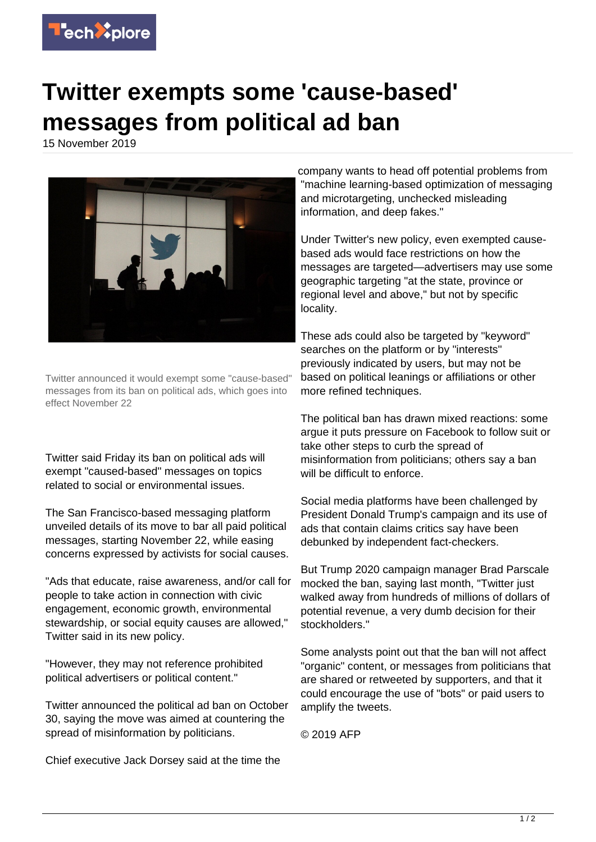

## **Twitter exempts some 'cause-based' messages from political ad ban**

15 November 2019



Twitter announced it would exempt some "cause-based" messages from its ban on political ads, which goes into effect November 22

Twitter said Friday its ban on political ads will exempt "caused-based" messages on topics related to social or environmental issues.

The San Francisco-based messaging platform unveiled details of its move to bar all paid political messages, starting November 22, while easing concerns expressed by activists for social causes.

"Ads that educate, raise awareness, and/or call for people to take action in connection with civic engagement, economic growth, environmental stewardship, or social equity causes are allowed," Twitter said in its new policy.

"However, they may not reference prohibited political advertisers or political content."

Twitter announced the political ad ban on October 30, saying the move was aimed at countering the spread of misinformation by politicians.

Chief executive Jack Dorsey said at the time the

company wants to head off potential problems from "machine learning-based optimization of messaging and microtargeting, unchecked misleading information, and deep fakes."

Under Twitter's new policy, even exempted causebased ads would face restrictions on how the messages are targeted—advertisers may use some geographic targeting "at the state, province or regional level and above," but not by specific locality.

These ads could also be targeted by "keyword" searches on the platform or by "interests" previously indicated by users, but may not be based on political leanings or affiliations or other more refined techniques.

The political ban has drawn mixed reactions: some argue it puts pressure on Facebook to follow suit or take other steps to curb the spread of misinformation from politicians; others say a ban will be difficult to enforce.

Social media platforms have been challenged by President Donald Trump's campaign and its use of ads that contain claims critics say have been debunked by independent fact-checkers.

But Trump 2020 campaign manager Brad Parscale mocked the ban, saying last month, "Twitter just walked away from hundreds of millions of dollars of potential revenue, a very dumb decision for their stockholders."

Some analysts point out that the ban will not affect "organic" content, or messages from politicians that are shared or retweeted by supporters, and that it could encourage the use of "bots" or paid users to amplify the tweets.

© 2019 AFP